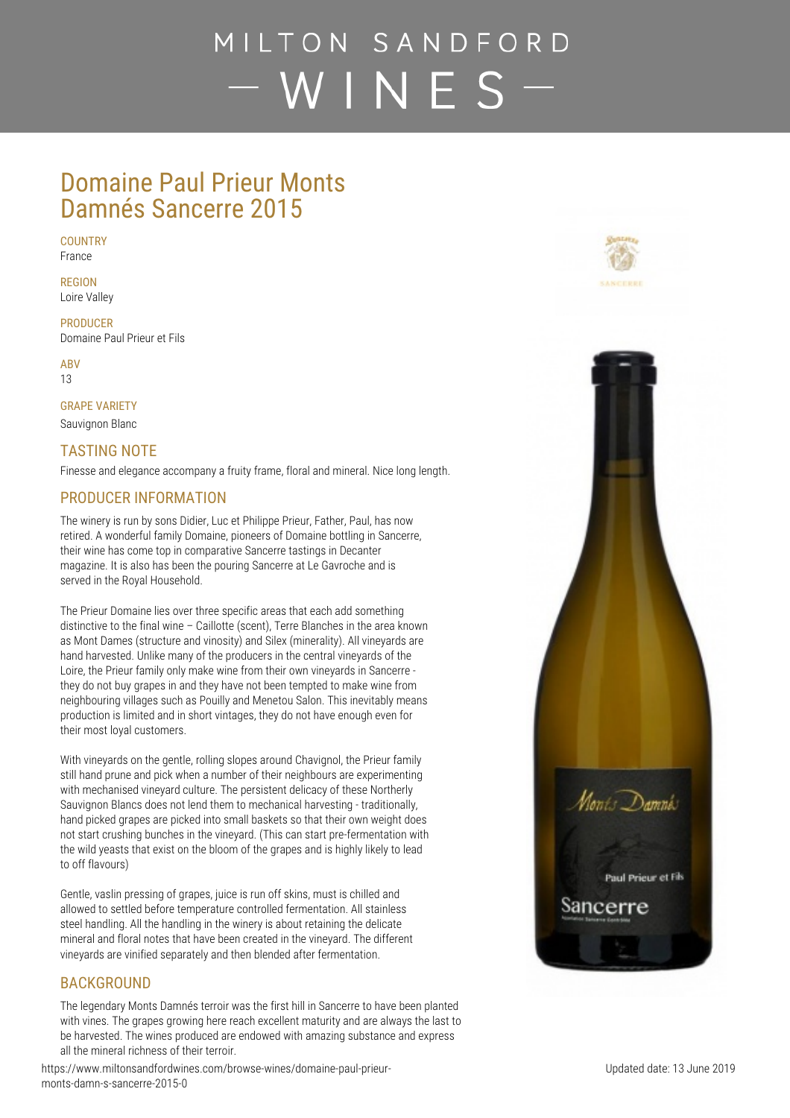# MILTON SANDFORD  $-WINES$  –

### Domaine Paul Prieur Monts Damnés Sancerre 2015

**COUNTRY** France

**REGION**

Loire Valley

**PRODUCER** Domaine Paul Prieur et Fils

**ABV** 13

**GRAPE VARIETY**

Sauvignon Blanc

### **TASTING NOTE**

Finesse and elegance accompany a fruity frame, floral and mineral. Nice long length.

### **PRODUCER INFORMATION**

The winery is run by sons Didier, Luc et Philippe Prieur, Father, Paul, has now retired. A wonderful family Domaine, pioneers of Domaine bottling in Sancerre, their wine has come top in comparative Sancerre tastings in Decanter magazine. It is also has been the pouring Sancerre at Le Gavroche and is served in the Royal Household.

The Prieur Domaine lies over three specific areas that each add something distinctive to the final wine – Caillotte (scent), Terre Blanches in the area known as Mont Dames (structure and vinosity) and Silex (minerality). All vineyards are hand harvested. Unlike many of the producers in the central vineyards of the Loire, the Prieur family only make wine from their own vineyards in Sancerre they do not buy grapes in and they have not been tempted to make wine from neighbouring villages such as Pouilly and Menetou Salon. This inevitably means production is limited and in short vintages, they do not have enough even for their most loyal customers.

With vineyards on the gentle, rolling slopes around Chavignol, the Prieur family still hand prune and pick when a number of their neighbours are experimenting with mechanised vineyard culture. The persistent delicacy of these Northerly Sauvignon Blancs does not lend them to mechanical harvesting - traditionally, hand picked grapes are picked into small baskets so that their own weight does not start crushing bunches in the vineyard. (This can start pre-fermentation with the wild yeasts that exist on the bloom of the grapes and is highly likely to lead to off flavours)

Gentle, vaslin pressing of grapes, juice is run off skins, must is chilled and allowed to settled before temperature controlled fermentation. All stainless steel handling. All the handling in the winery is about retaining the delicate mineral and floral notes that have been created in the vineyard. The different vineyards are vinified separately and then blended after fermentation.

#### **BACKGROUND**

The legendary Monts Damnés terroir was the first hill in Sancerre to have been planted with vines. The grapes growing here reach excellent maturity and are always the last to be harvested. The wines produced are endowed with amazing substance and express all the mineral richness of their terroir.

https://www.miltonsandfordwines.com/browse-wines/domaine-paul-prieurmonts-damn-s-sancerre-2015-0